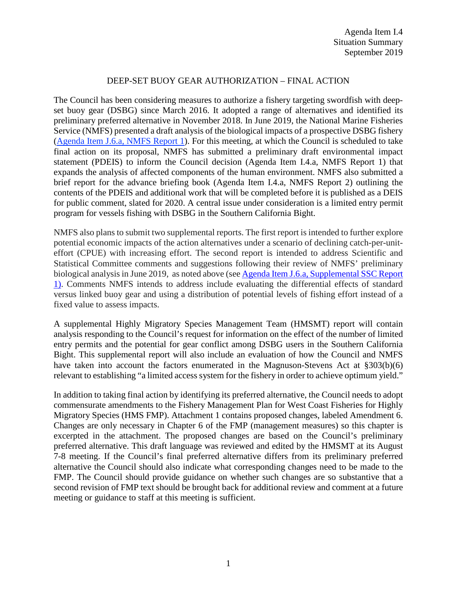### DEEP-SET BUOY GEAR AUTHORIZATION – FINAL ACTION

The Council has been considering measures to authorize a fishery targeting swordfish with deepset buoy gear (DSBG) since March 2016. It adopted a range of alternatives and identified its preliminary preferred alternative in November 2018. In June 2019, the National Marine Fisheries Service (NMFS) presented a draft analysis of the biological impacts of a prospective DSBG fishery [\(Agenda Item J.6.a, NMFS Report 1\)](https://www.pcouncil.org/wp-content/uploads/2019/05/J6a_NMFS_Rpt1_DSBG-Authorization_JUN2019BB.pdf). For this meeting, at which the Council is scheduled to take final action on its proposal, NMFS has submitted a preliminary draft environmental impact statement (PDEIS) to inform the Council decision (Agenda Item I.4.a, NMFS Report 1) that expands the analysis of affected components of the human environment. NMFS also submitted a brief report for the advance briefing book (Agenda Item I.4.a, NMFS Report 2) outlining the contents of the PDEIS and additional work that will be completed before it is published as a DEIS for public comment, slated for 2020. A central issue under consideration is a limited entry permit program for vessels fishing with DSBG in the Southern California Bight.

NMFS also plans to submit two supplemental reports. The first report is intended to further explore potential economic impacts of the action alternatives under a scenario of declining catch-per-uniteffort (CPUE) with increasing effort. The second report is intended to address Scientific and Statistical Committee comments and suggestions following their review of NMFS' preliminary biological analysisin June 2019, as noted above (se[e Agenda Item J.6.a, Supplemental SSC Report](https://www.pcouncil.org/wp-content/uploads/2019/06/J6a_Sup_SSC_Rpt1_JUNE2019BB.pdf)  [1\)](https://www.pcouncil.org/wp-content/uploads/2019/06/J6a_Sup_SSC_Rpt1_JUNE2019BB.pdf). Comments NMFS intends to address include evaluating the differential effects of standard versus linked buoy gear and using a distribution of potential levels of fishing effort instead of a fixed value to assess impacts.

A supplemental Highly Migratory Species Management Team (HMSMT) report will contain analysis responding to the Council's request for information on the effect of the number of limited entry permits and the potential for gear conflict among DSBG users in the Southern California Bight. This supplemental report will also include an evaluation of how the Council and NMFS have taken into account the factors enumerated in the Magnuson-Stevens Act at §303(b)(6) relevant to establishing "a limited access system for the fishery in order to achieve optimum yield."

In addition to taking final action by identifying its preferred alternative, the Council needs to adopt commensurate amendments to the Fishery Management Plan for West Coast Fisheries for Highly Migratory Species (HMS FMP). Attachment 1 contains proposed changes, labeled Amendment 6. Changes are only necessary in Chapter 6 of the FMP (management measures) so this chapter is excerpted in the attachment. The proposed changes are based on the Council's preliminary preferred alternative. This draft language was reviewed and edited by the HMSMT at its August 7-8 meeting. If the Council's final preferred alternative differs from its preliminary preferred alternative the Council should also indicate what corresponding changes need to be made to the FMP. The Council should provide guidance on whether such changes are so substantive that a second revision of FMP text should be brought back for additional review and comment at a future meeting or guidance to staff at this meeting is sufficient.